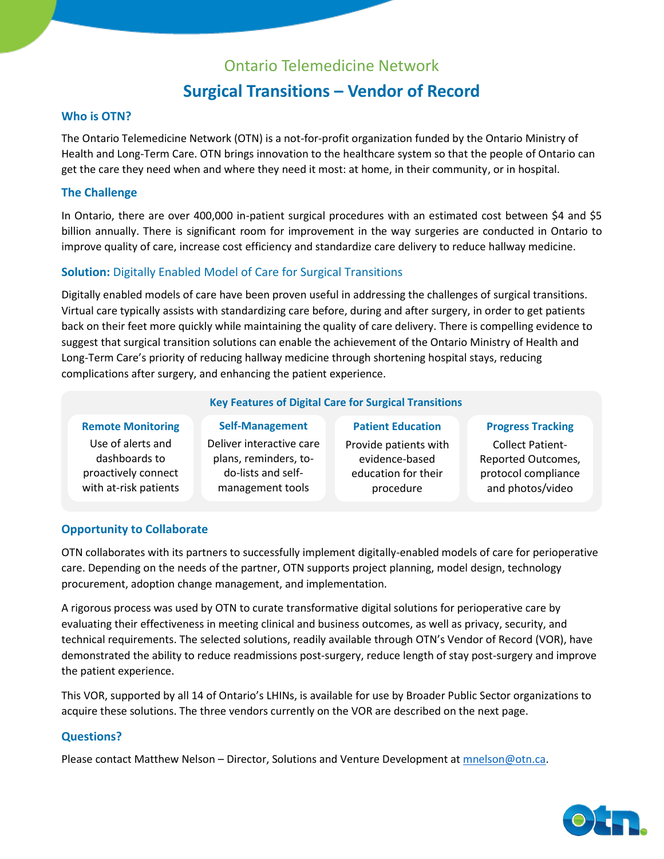### Ontario Telemedicine Network **Surgical Transitions – Vendor of Record**

#### **Who is OTN?**

The Ontario Telemedicine Network (OTN) is a not-for-profit organization funded by the Ontario Ministry of Health and Long-Term Care. OTN brings innovation to the healthcare system so that the people of Ontario can get the care they need when and where they need it most: at home, in their community, or in hospital.

#### **The Challenge**

In Ontario, there are over 400,000 in-patient surgical procedures with an estimated cost between \$4 and \$5 billion annually. There is significant room for improvement in the way surgeries are conducted in Ontario to improve quality of care, increase cost efficiency and standardize care delivery to reduce hallway medicine.

#### **Solution:** Digitally Enabled Model of Care for Surgical Transitions

Digitally enabled models of care have been proven useful in addressing the challenges of surgical transitions. Virtual care typically assists with standardizing care before, during and after surgery, in order to get patients back on their feet more quickly while maintaining the quality of care delivery. There is compelling evidence to suggest that surgical transition solutions can enable the achievement of the Ontario Ministry of Health and Long-Term Care's priority of reducing hallway medicine through shortening hospital stays, reducing complications after surgery, and enhancing the patient experience.

#### **Key Features of Digital Care for Surgical Transitions**

#### **Remote Monitoring**

Use of alerts and dashboards to proactively connect with at-risk patients

**Self-Management** Deliver interactive care plans, reminders, todo-lists and selfmanagement tools

Provide patients with evidence-based education for their procedure

**Patient Education**

**Progress Tracking**

Collect Patient-Reported Outcomes, protocol compliance and photos/video

#### **Opportunity to Collaborate**

OTN collaborates with its partners to successfully implement digitally-enabled models of care for perioperative care. Depending on the needs of the partner, OTN supports project planning, model design, technology procurement, adoption change management, and implementation.

A rigorous process was used by OTN to curate transformative digital solutions for perioperative care by evaluating their effectiveness in meeting clinical and business outcomes, as well as privacy, security, and technical requirements. The selected solutions, readily available through OTN's Vendor of Record (VOR), have demonstrated the ability to reduce readmissions post-surgery, reduce length of stay post-surgery and improve the patient experience.

This VOR, supported by all 14 of Ontario's LHINs, is available for use by Broader Public Sector organizations to acquire these solutions. The three vendors currently on the VOR are described on the next page.

#### **Questions?**

Please contact Matthew Nelson – Director, Solutions and Venture Development at [mnelson@otn.ca.](mailto:mnelson@otn.ca)